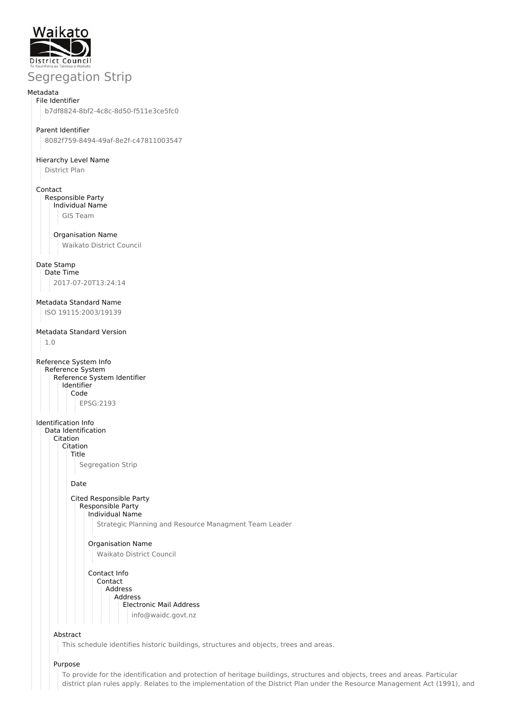

# Segregation Strip

#### Metadata File Identifier

b7df8824-8bf2-4c8c-8d50-f511e3ce5fc0

### Parent Identifier

8082f759-8494-49af-8e2f-c47811003547

## Hierarchy Level Name

District Plan

## Contact

Responsible Party Individual Name

GIS Team

#### Organisation Name

Waikato District Council

### Date Stamp

Date Time 2017-07-20T13:24:14

### Metadata Standard Name

ISO 19115:2003/19139

## Metadata Standard Version

1.0

```
Reference System Info
Reference System
   Reference System Identifier
     Identifier
        Code
          EPSG:2193
```
Identification Info

Data Identification Citation

Citation

Title

Segregation Strip

Date

#### Cited Responsible Party Responsible Party Individual Name

Strategic Planning and Resource Managment Team Leader

## Organisation Name Waikato District Council

Contact Info Contact Address Address Electronic Mail Address info@waidc.govt.nz

#### Abstract

This schedule identifies historic buildings, structures and objects, trees and areas.

#### Purpose

To provide for the identification and protection of heritage buildings, structures and objects, trees and areas. Particular district plan rules apply. Relates to the implementation of the District Plan under the Resource Management Act (1991), and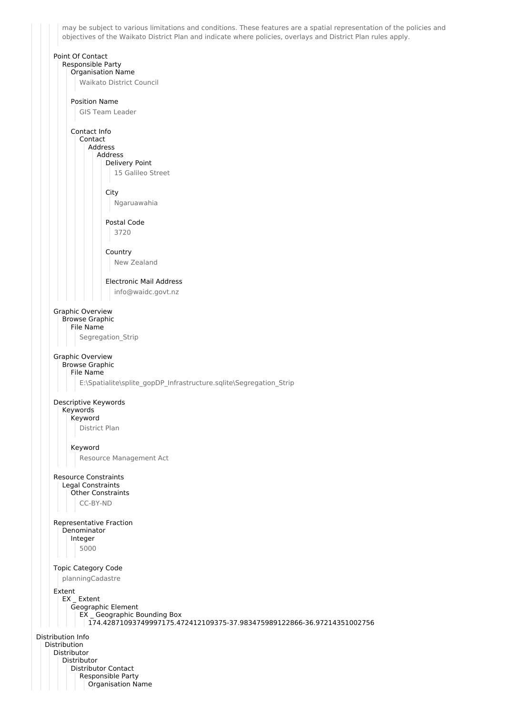may be subject to various limitations and conditions. These features are a spatial representation of the policies and objectives of the Waikato District Plan and indicate where policies, overlays and District Plan rules apply. Point Of Contact Responsible Party Organisation Name Waikato District Council Position Name GIS Team Leader Contact Info Contact Address Address Delivery Point 15 Galileo Street City Ngaruawahia Postal Code 3720 Country New Zealand Electronic Mail Address info@waidc.govt.nz Graphic Overview Browse Graphic File Name Segregation\_Strip Graphic Overview Browse Graphic File Name E:\Spatialite\splite\_gopDP\_Infrastructure.sqlite\Segregation\_Strip Descriptive Keywords Keywords Keyword District Plan Keyword Resource Management Act Resource Constraints Legal Constraints Other Constraints CC-BY-ND Representative Fraction **Denominator** Integer 5000 Topic Category Code planningCadastre Extent EX \_ Extent Geographic Element EX \_ Geographic Bounding Box 174.42871093749997175.472412109375-37.983475989122866-36.97214351002756 Distribution Info Distribution Distributor Distributor Distributor Contact Responsible Party Organisation Name